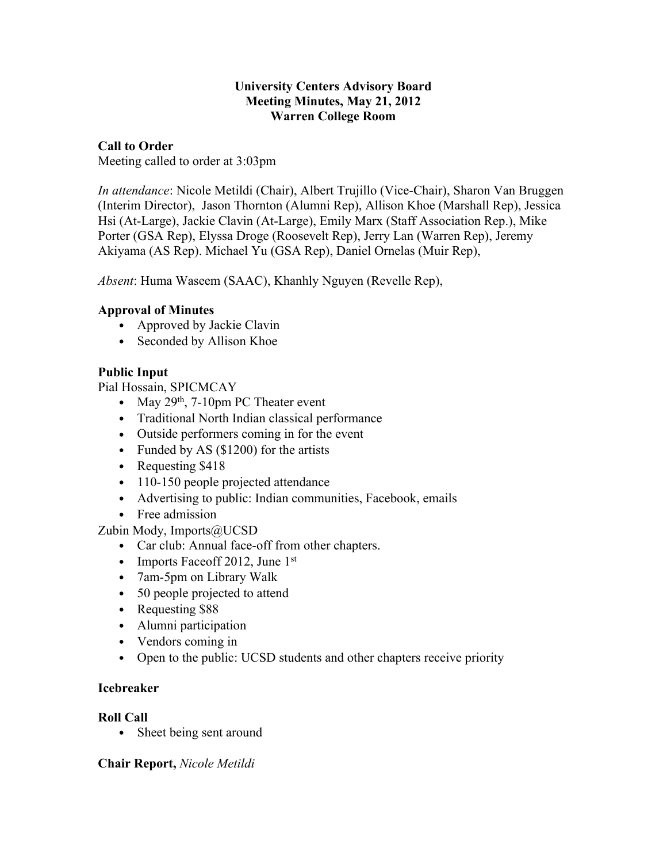#### **University Centers Advisory Board Meeting Minutes, May 21, 2012 Warren College Room**

#### **Call to Order**

Meeting called to order at 3:03pm

*In attendance*: Nicole Metildi (Chair), Albert Trujillo (Vice-Chair), Sharon Van Bruggen (Interim Director), Jason Thornton (Alumni Rep), Allison Khoe (Marshall Rep), Jessica Hsi (At-Large), Jackie Clavin (At-Large), Emily Marx (Staff Association Rep.), Mike Porter (GSA Rep), Elyssa Droge (Roosevelt Rep), Jerry Lan (Warren Rep), Jeremy Akiyama (AS Rep). Michael Yu (GSA Rep), Daniel Ornelas (Muir Rep),

*Absent*: Huma Waseem (SAAC), Khanhly Nguyen (Revelle Rep),

## **Approval of Minutes**

- Approved by Jackie Clavin
- Seconded by Allison Khoe

## **Public Input**

Pial Hossain, SPICMCAY

- May  $29<sup>th</sup>$ , 7-10pm PC Theater event
- Traditional North Indian classical performance
- Outside performers coming in for the event
- Funded by AS (\$1200) for the artists
- Requesting \$418
- 110-150 people projected attendance
- Advertising to public: Indian communities, Facebook, emails
- Free admission

Zubin Mody, Imports@UCSD

- Car club: Annual face-off from other chapters.
- Imports Faceoff 2012, June  $1<sup>st</sup>$
- 7am-5pm on Library Walk
- 50 people projected to attend
- Requesting \$88
- Alumni participation
- Vendors coming in
- Open to the public: UCSD students and other chapters receive priority

#### **Icebreaker**

## **Roll Call**

• Sheet being sent around

#### **Chair Report,** *Nicole Metildi*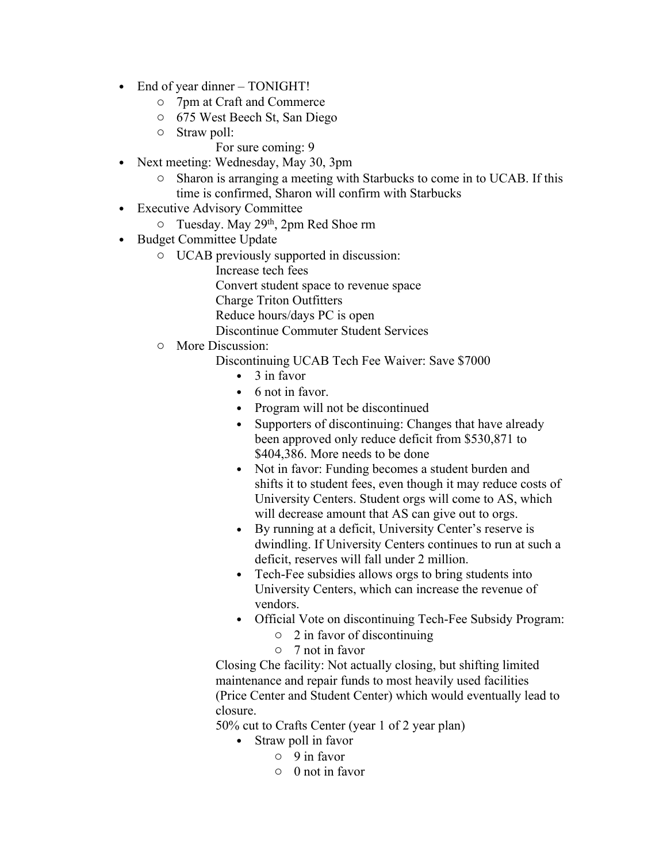- End of year dinner TONIGHT!
	- o 7pm at Craft and Commerce
	- o 675 West Beech St, San Diego
	- o Straw poll:
		- For sure coming: 9
- Next meeting: Wednesday, May 30, 3pm
	- o Sharon is arranging a meeting with Starbucks to come in to UCAB. If this time is confirmed, Sharon will confirm with Starbucks
- Executive Advisory Committee
	- o Tuesday. May 29th, 2pm Red Shoe rm
- Budget Committee Update
	- o UCAB previously supported in discussion:
		- Increase tech fees

Convert student space to revenue space

Charge Triton Outfitters

Reduce hours/days PC is open

Discontinue Commuter Student Services

o More Discussion:

Discontinuing UCAB Tech Fee Waiver: Save \$7000

- $\bullet$  3 in favor
- 6 not in favor.
- Program will not be discontinued
- Supporters of discontinuing: Changes that have already been approved only reduce deficit from \$530,871 to \$404,386. More needs to be done
- Not in favor: Funding becomes a student burden and shifts it to student fees, even though it may reduce costs of University Centers. Student orgs will come to AS, which will decrease amount that AS can give out to orgs.
- By running at a deficit, University Center's reserve is dwindling. If University Centers continues to run at such a deficit, reserves will fall under 2 million.
- Tech-Fee subsidies allows orgs to bring students into University Centers, which can increase the revenue of vendors.
- Official Vote on discontinuing Tech-Fee Subsidy Program:
	- o 2 in favor of discontinuing
	- o 7 not in favor

Closing Che facility: Not actually closing, but shifting limited maintenance and repair funds to most heavily used facilities (Price Center and Student Center) which would eventually lead to closure.

50% cut to Crafts Center (year 1 of 2 year plan)

- Straw poll in favor
	- o 9 in favor
	- o 0 not in favor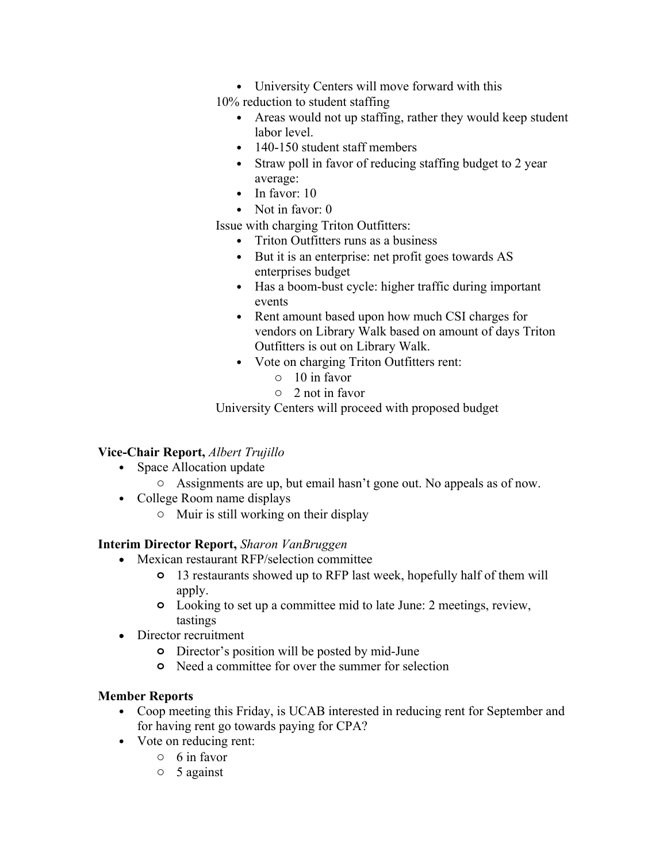• University Centers will move forward with this

10% reduction to student staffing

- Areas would not up staffing, rather they would keep student labor level.
- 140-150 student staff members
- Straw poll in favor of reducing staffing budget to 2 year average:
- $\bullet$  In favor: 10
- Not in favor: 0

Issue with charging Triton Outfitters:

- Triton Outfitters runs as a business
- But it is an enterprise: net profit goes towards AS enterprises budget
- Has a boom-bust cycle: higher traffic during important events
- Rent amount based upon how much CSI charges for vendors on Library Walk based on amount of days Triton Outfitters is out on Library Walk.
- Vote on charging Triton Outfitters rent:
	- o 10 in favor
	- o 2 not in favor

University Centers will proceed with proposed budget

## **Vice-Chair Report,** *Albert Trujillo*

- Space Allocation update
	- o Assignments are up, but email hasn't gone out. No appeals as of now.
- College Room name displays
	- o Muir is still working on their display

## **Interim Director Report,** *Sharon VanBruggen*

- Mexican restaurant RFP/selection committee
	- **o** 13 restaurants showed up to RFP last week, hopefully half of them will apply.
	- **o** Looking to set up a committee mid to late June: 2 meetings, review, tastings
- Director recruitment
	- **o** Director's position will be posted by mid-June
	- **o** Need a committee for over the summer for selection

## **Member Reports**

- Coop meeting this Friday, is UCAB interested in reducing rent for September and for having rent go towards paying for CPA?
- Vote on reducing rent:
	- o 6 in favor
	- o 5 against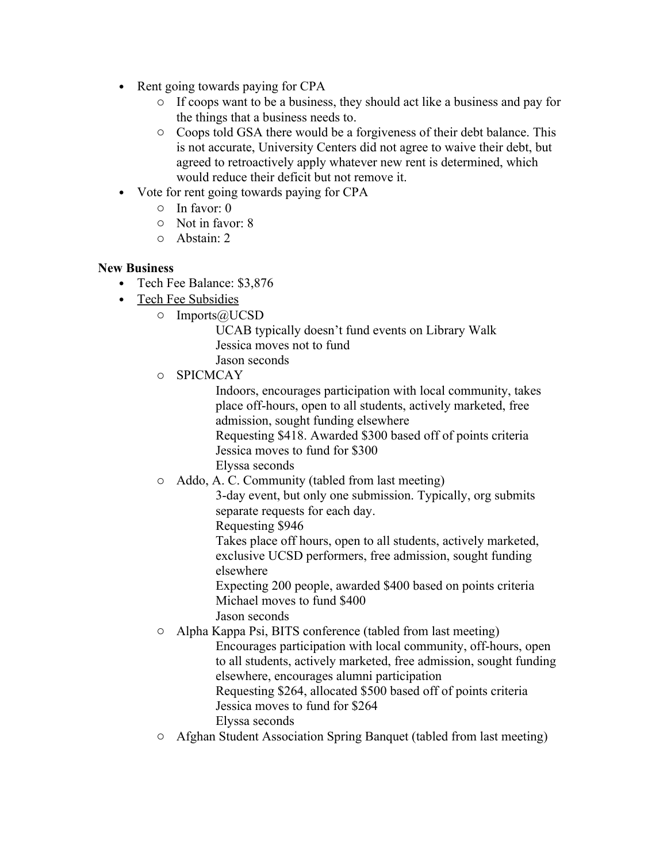- Rent going towards paying for CPA
	- o If coops want to be a business, they should act like a business and pay for the things that a business needs to.
	- o Coops told GSA there would be a forgiveness of their debt balance. This is not accurate, University Centers did not agree to waive their debt, but agreed to retroactively apply whatever new rent is determined, which would reduce their deficit but not remove it.
- Vote for rent going towards paying for CPA
	- o In favor: 0
	- o Not in favor: 8
	- o Abstain: 2

#### **New Business**

- Tech Fee Balance: \$3,876
- Tech Fee Subsidies
	- o Imports@UCSD

UCAB typically doesn't fund events on Library Walk Jessica moves not to fund Jason seconds

o SPICMCAY

Indoors, encourages participation with local community, takes place off-hours, open to all students, actively marketed, free admission, sought funding elsewhere

Requesting \$418. Awarded \$300 based off of points criteria Jessica moves to fund for \$300

Elyssa seconds

o Addo, A. C. Community (tabled from last meeting)

3-day event, but only one submission. Typically, org submits separate requests for each day.

Requesting \$946

Takes place off hours, open to all students, actively marketed, exclusive UCSD performers, free admission, sought funding elsewhere

Expecting 200 people, awarded \$400 based on points criteria Michael moves to fund \$400 Jason seconds

o Alpha Kappa Psi, BITS conference (tabled from last meeting) Encourages participation with local community, off-hours, open to all students, actively marketed, free admission, sought funding elsewhere, encourages alumni participation Requesting \$264, allocated \$500 based off of points criteria Jessica moves to fund for \$264 Elyssa seconds

o Afghan Student Association Spring Banquet (tabled from last meeting)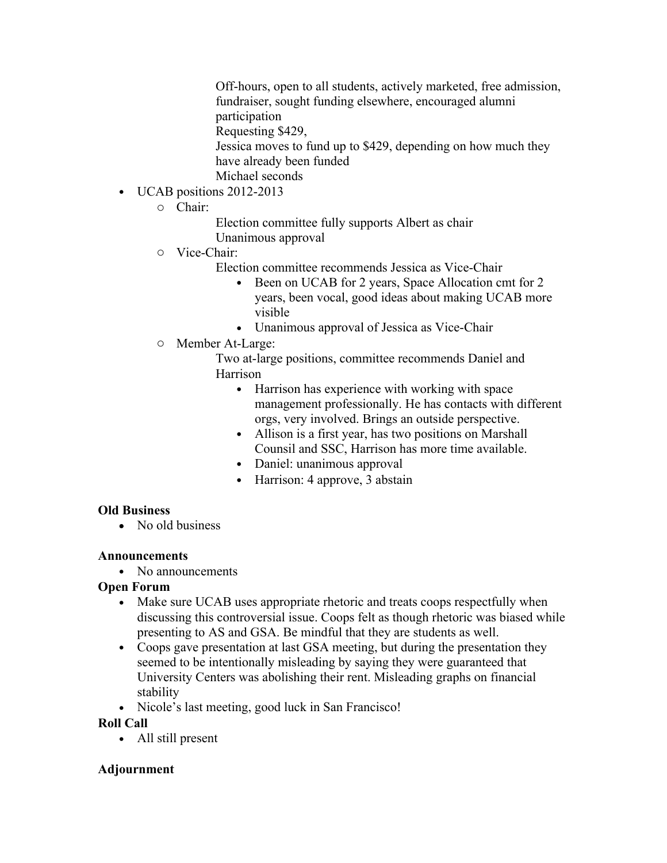Off-hours, open to all students, actively marketed, free admission, fundraiser, sought funding elsewhere, encouraged alumni participation

Requesting \$429,

Jessica moves to fund up to \$429, depending on how much they have already been funded

Michael seconds

- UCAB positions 2012-2013
	- o Chair:

Election committee fully supports Albert as chair Unanimous approval

- o Vice-Chair:
	- Election committee recommends Jessica as Vice-Chair
		- Been on UCAB for 2 years, Space Allocation cmt for 2 years, been vocal, good ideas about making UCAB more visible
		- Unanimous approval of Jessica as Vice-Chair
- o Member At-Large:

Two at-large positions, committee recommends Daniel and Harrison

- Harrison has experience with working with space management professionally. He has contacts with different orgs, very involved. Brings an outside perspective.
- Allison is a first year, has two positions on Marshall Counsil and SSC, Harrison has more time available.
- Daniel: unanimous approval
- Harrison: 4 approve, 3 abstain

## **Old Business**

• No old business

## **Announcements**

• No announcements

# **Open Forum**

- Make sure UCAB uses appropriate rhetoric and treats coops respectfully when discussing this controversial issue. Coops felt as though rhetoric was biased while presenting to AS and GSA. Be mindful that they are students as well.
- Coops gave presentation at last GSA meeting, but during the presentation they seemed to be intentionally misleading by saying they were guaranteed that University Centers was abolishing their rent. Misleading graphs on financial stability
- Nicole's last meeting, good luck in San Francisco!

# **Roll Call**

• All still present

# **Adjournment**